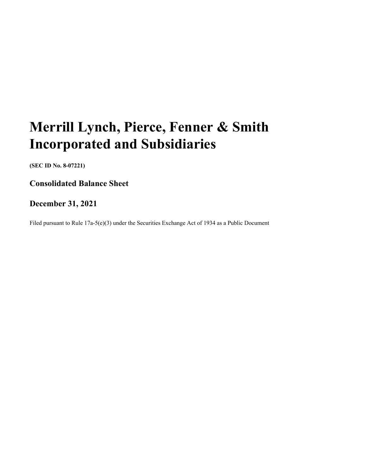# **Merrill Lynch, Pierce, Fenner & Smith Incorporated and Subsidiaries**

 **(SEC ID No. 8-07221)**

 **Consolidated Balance Sheet**

# **December 31, 2021**

Filed pursuant to Rule 17a-5(e)(3) under the Securities Exchange Act of 1934 as a Public Document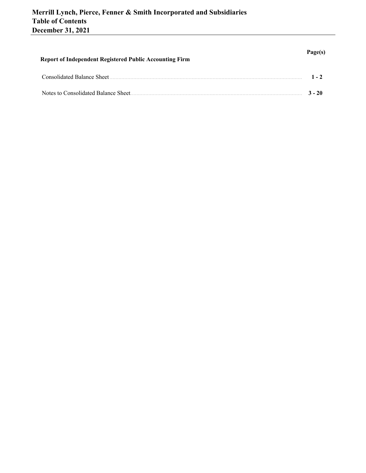| <b>Report of Independent Registered Public Accounting Firm</b> | Page(s)  |
|----------------------------------------------------------------|----------|
| Consolidated Balance Sheet                                     | $1 - 2$  |
| Notes to Consolidated Balance Sheet                            | $3 - 20$ |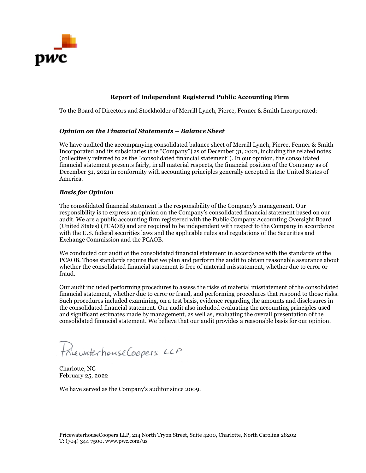

# **Report of Independent Registered Public Accounting Firm**

To the Board of Directors and Stockholder of Merrill Lynch, Pierce, Fenner & Smith Incorporated:

# *Opinion on the Financial Statements – Balance Sheet*

 America. We have audited the accompanying consolidated balance sheet of Merrill Lynch, Pierce, Fenner & Smith Incorporated and its subsidiaries (the "Company") as of December 31, 2021, including the related notes (collectively referred to as the "consolidated financial statement"). In our opinion, the consolidated financial statement presents fairly, in all material respects, the financial position of the Company as of December 31, 2021 in conformity with accounting principles generally accepted in the United States of

# *Basis for Opinion*

 The consolidated financial statement is the responsibility of the Company's management. Our audit. We are a public accounting firm registered with the Public Company Accounting Oversight Board responsibility is to express an opinion on the Company's consolidated financial statement based on our (United States) (PCAOB) and are required to be independent with respect to the Company in accordance with the U.S. federal securities laws and the applicable rules and regulations of the Securities and Exchange Commission and the PCAOB.

We conducted our audit of the consolidated financial statement in accordance with the standards of the PCAOB. Those standards require that we plan and perform the audit to obtain reasonable assurance about whether the consolidated financial statement is free of material misstatement, whether due to error or fraud.

 the consolidated financial statement. Our audit also included evaluating the accounting principles used Our audit included performing procedures to assess the risks of material misstatement of the consolidated financial statement, whether due to error or fraud, and performing procedures that respond to those risks. Such procedures included examining, on a test basis, evidence regarding the amounts and disclosures in and significant estimates made by management, as well as, evaluating the overall presentation of the consolidated financial statement. We believe that our audit provides a reasonable basis for our opinion.

Princewaterhouse Coopers LLP

Charlotte, NC February 25, 2022

We have served as the Company's auditor since 2009.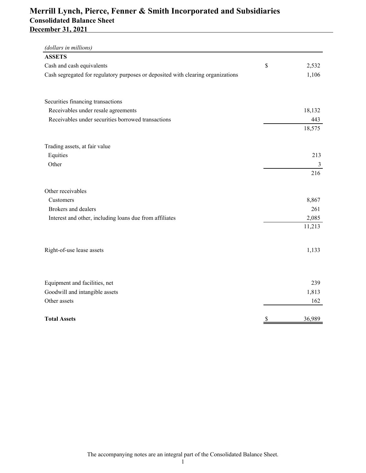# <span id="page-3-0"></span> **Merrill Lynch, Pierce, Fenner & Smith Incorporated and Subsidiaries December 31, 2021 Consolidated Balance Sheet**

| (dollars in millions)                                                            |              |
|----------------------------------------------------------------------------------|--------------|
| <b>ASSETS</b>                                                                    |              |
| Cash and cash equivalents                                                        | \$<br>2,532  |
| Cash segregated for regulatory purposes or deposited with clearing organizations | 1,106        |
| Securities financing transactions                                                |              |
| Receivables under resale agreements                                              | 18,132       |
| Receivables under securities borrowed transactions                               | 443          |
|                                                                                  | 18,575       |
| Trading assets, at fair value                                                    |              |
| Equities                                                                         | 213          |
| Other                                                                            | 3            |
|                                                                                  | 216          |
| Other receivables                                                                |              |
| Customers                                                                        | 8,867        |
| Brokers and dealers                                                              | 261          |
| Interest and other, including loans due from affiliates                          | 2,085        |
|                                                                                  | 11,213       |
| Right-of-use lease assets                                                        | 1,133        |
| Equipment and facilities, net                                                    | 239          |
| Goodwill and intangible assets                                                   | 1,813        |
| Other assets                                                                     | 162          |
| <b>Total Assets</b>                                                              | \$<br>36,989 |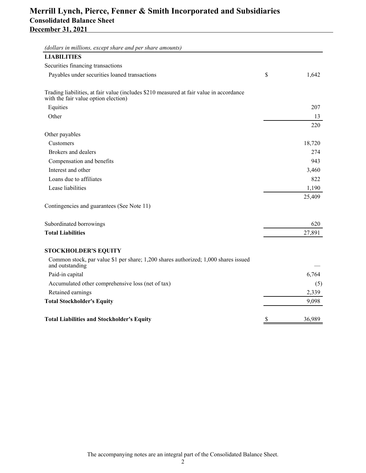| <b>LIABILITIES</b>                                                                                                              |             |
|---------------------------------------------------------------------------------------------------------------------------------|-------------|
| Securities financing transactions                                                                                               |             |
| Payables under securities loaned transactions                                                                                   | \$<br>1,642 |
| Trading liabilities, at fair value (includes \$210 measured at fair value in accordance<br>with the fair value option election) |             |
| Equities                                                                                                                        | 207         |
| Other                                                                                                                           | 13          |
|                                                                                                                                 | 220         |
| Other payables                                                                                                                  |             |
| Customers                                                                                                                       | 18,720      |
| Brokers and dealers                                                                                                             | 274         |
| Compensation and benefits                                                                                                       | 943         |
| Interest and other                                                                                                              | 3,460       |
| Loans due to affiliates                                                                                                         | 822         |
| Lease liabilities                                                                                                               | 1,190       |
|                                                                                                                                 | 25,409      |
| Contingencies and guarantees (See Note 11)                                                                                      |             |
| Subordinated borrowings                                                                                                         | 620         |
| <b>Total Liabilities</b>                                                                                                        | 27,891      |
| <b>STOCKHOLDER'S EQUITY</b>                                                                                                     |             |
| Common stock, par value \$1 per share; 1,200 shares authorized; 1,000 shares issued<br>and outstanding                          |             |
| Paid-in capital                                                                                                                 | 6,764       |
| Accumulated other comprehensive loss (net of tax)                                                                               | (5)         |
| Retained earnings                                                                                                               | 2,339       |
| <b>Total Stockholder's Equity</b>                                                                                               | 9,098       |
| <b>Total Liabilities and Stockholder's Equity</b>                                                                               | 36,989      |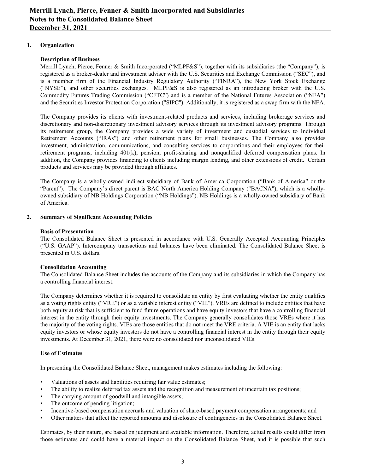# <span id="page-5-0"></span>**1. Organization**

# **Description of Business**

 Merrill Lynch, Pierce, Fenner & Smith Incorporated ("MLPF&S"), together with its subsidiaries (the "Company"), is registered as a broker-dealer and investment adviser with the U.S. Securities and Exchange Commission ("SEC"), and is a member firm of the Financial Industry Regulatory Authority ("FINRA"), the New York Stock Exchange ("NYSE"), and other securities exchanges. MLPF&S is also registered as an introducing broker with the U.S. Commodity Futures Trading Commission ("CFTC") and is a member of the National Futures Association ("NFA") and the Securities Investor Protection Corporation ("SIPC"). Additionally, it is registered as a swap firm with the NFA.

 The Company provides its clients with investment-related products and services, including brokerage services and discretionary and non-discretionary investment advisory services through its investment advisory programs. Through its retirement group, the Company provides a wide variety of investment and custodial services to Individual Retirement Accounts ("IRAs") and other retirement plans for small businesses. The Company also provides investment, administration, communications, and consulting services to corporations and their employees for their retirement programs, including 401(k), pension, profit-sharing and nonqualified deferred compensation plans. In addition, the Company provides financing to clients including margin lending, and other extensions of credit. Certain products and services may be provided through affiliates.

 The Company is a wholly-owned indirect subsidiary of Bank of America Corporation ("Bank of America" or the "Parent"). The Company's direct parent is BAC North America Holding Company ("BACNA"), which is a wholly- owned subsidiary of NB Holdings Corporation ("NB Holdings"). NB Holdings is a wholly-owned subsidiary of Bank of America.

# **2. Summary of Significant Accounting Policies**

# **Basis of Presentation**

 The Consolidated Balance Sheet is presented in accordance with U.S. Generally Accepted Accounting Principles ("U.S. GAAP"). Intercompany transactions and balances have been eliminated. The Consolidated Balance Sheet is presented in U.S. dollars.

# **Consolidation Accounting**

 The Consolidated Balance Sheet includes the accounts of the Company and its subsidiaries in which the Company has a controlling financial interest.

 The Company determines whether it is required to consolidate an entity by first evaluating whether the entity qualifies as a voting rights entity ("VRE") or as a variable interest entity ("VIE"). VREs are defined to include entities that have both equity at risk that is sufficient to fund future operations and have equity investors that have a controlling financial interest in the entity through their equity investments. The Company generally consolidates those VREs where it has the majority of the voting rights. VIEs are those entities that do not meet the VRE criteria. A VIE is an entity that lacks equity investors or whose equity investors do not have a controlling financial interest in the entity through their equity investments. At December 31, 2021, there were no consolidated nor unconsolidated VIEs.

# **Use of Estimates**

In presenting the Consolidated Balance Sheet, management makes estimates including the following:

- Valuations of assets and liabilities requiring fair value estimates;
- The ability to realize deferred tax assets and the recognition and measurement of uncertain tax positions;
- The carrying amount of goodwill and intangible assets;
- The outcome of pending litigation;
- Incentive-based compensation accruals and valuation of share-based payment compensation arrangements; and
- Other matters that affect the reported amounts and disclosure of contingencies in the Consolidated Balance Sheet.

 Estimates, by their nature, are based on judgment and available information. Therefore, actual results could differ from those estimates and could have a material impact on the Consolidated Balance Sheet, and it is possible that such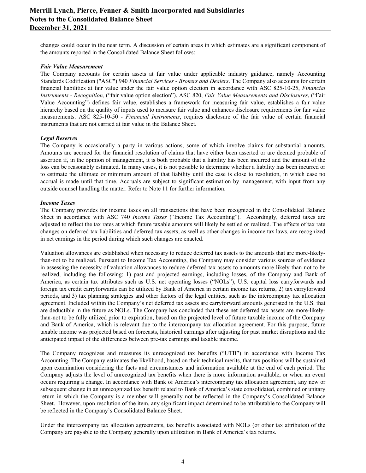changes could occur in the near term. A discussion of certain areas in which estimates are a significant component of the amounts reported in the Consolidated Balance Sheet follows:

#### *Fair Value Measurement*

 The Company accounts for certain assets at fair value under applicable industry guidance, namely Accounting Standards Codification ("ASC") 940 *Financial Services - Brokers and Dealers*. The Company also accounts for certain financial liabilities at fair value under the fair value option election in accordance with ASC 825-10-25, *Financial Instruments - Recognition,* ("fair value option election"). ASC 820, *Fair Value Measurements and Disclosures*, ("Fair Value Accounting") defines fair value, establishes a framework for measuring fair value, establishes a fair value hierarchy based on the quality of inputs used to measure fair value and enhances disclosure requirements for fair value measurements. ASC 825-10-50 - *Financial Instruments*, requires disclosure of the fair value of certain financial instruments that are not carried at fair value in the Balance Sheet.

#### *Legal Reserves*

 The Company is occasionally a party in various actions, some of which involve claims for substantial amounts. Amounts are accrued for the financial resolution of claims that have either been asserted or are deemed probable of assertion if, in the opinion of management, it is both probable that a liability has been incurred and the amount of the loss can be reasonably estimated. In many cases, it is not possible to determine whether a liability has been incurred or to estimate the ultimate or minimum amount of that liability until the case is close to resolution, in which case no accrual is made until that time. Accruals are subject to significant estimation by management, with input from any outside counsel handling the matter. Refer to Note 11 for further information.

#### *Income Taxes*

 The Company provides for income taxes on all transactions that have been recognized in the Consolidated Balance Sheet in accordance with ASC 740 *Income Taxes* ("Income Tax Accounting"). Accordingly, deferred taxes are adjusted to reflect the tax rates at which future taxable amounts will likely be settled or realized. The effects of tax rate changes on deferred tax liabilities and deferred tax assets, as well as other changes in income tax laws, are recognized in net earnings in the period during which such changes are enacted.

 Valuation allowances are established when necessary to reduce deferred tax assets to the amounts that are more-likely- than-not to be realized. Pursuant to Income Tax Accounting, the Company may consider various sources of evidence in assessing the necessity of valuation allowances to reduce deferred tax assets to amounts more-likely-than-not to be realized, including the following: 1) past and projected earnings, including losses, of the Company and Bank of America, as certain tax attributes such as U.S. net operating losses ("NOLs"), U.S. capital loss carryforwards and foreign tax credit carryforwards can be utilized by Bank of America in certain income tax returns, 2) tax carryforward periods, and 3) tax planning strategies and other factors of the legal entities, such as the intercompany tax allocation agreement. Included within the Company's net deferred tax assets are carryforward amounts generated in the U.S. that are deductible in the future as NOLs. The Company has concluded that these net deferred tax assets are more-likely- than-not to be fully utilized prior to expiration, based on the projected level of future taxable income of the Company and Bank of America, which is relevant due to the intercompany tax allocation agreement. For this purpose, future taxable income was projected based on forecasts, historical earnings after adjusting for past market disruptions and the anticipated impact of the differences between pre-tax earnings and taxable income.

 The Company recognizes and measures its unrecognized tax benefits ("UTB") in accordance with Income Tax Accounting. The Company estimates the likelihood, based on their technical merits, that tax positions will be sustained upon examination considering the facts and circumstances and information available at the end of each period. The Company adjusts the level of unrecognized tax benefits when there is more information available, or when an event occurs requiring a change. In accordance with Bank of America's intercompany tax allocation agreement, any new or subsequent change in an unrecognized tax benefit related to Bank of America's state consolidated, combined or unitary return in which the Company is a member will generally not be reflected in the Company's Consolidated Balance Sheet. However, upon resolution of the item, any significant impact determined to be attributable to the Company will be reflected in the Company's Consolidated Balance Sheet.

 Under the intercompany tax allocation agreements, tax benefits associated with NOLs (or other tax attributes) of the Company are payable to the Company generally upon utilization in Bank of America's tax returns.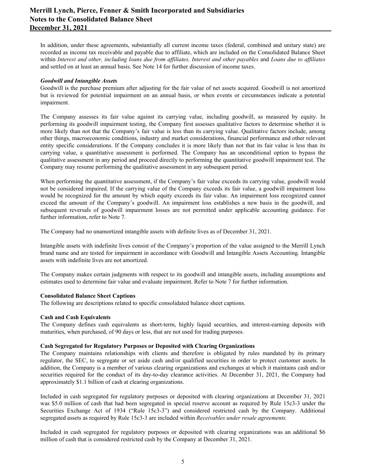In addition, under these agreements, substantially all current income taxes (federal, combined and unitary state) are recorded as income tax receivable and payable due to affiliate, which are included on the Consolidated Balance Sheet within Interest and other, including loans due from affiliates, Interest and other payables and Loans due to affiliates and settled on at least an annual basis. See Note 14 for further discussion of income taxes.

#### *Goodwill and Intangible Assets*

 Goodwill is the purchase premium after adjusting for the fair value of net assets acquired. Goodwill is not amortized but is reviewed for potential impairment on an annual basis, or when events or circumstances indicate a potential impairment.

 The Company assesses its fair value against its carrying value, including goodwill, as measured by equity. In performing its goodwill impairment testing, the Company first assesses qualitative factors to determine whether it is more likely than not that the Company's fair value is less than its carrying value. Qualitative factors include, among other things, macroeconomic conditions, industry and market considerations, financial performance and other relevant entity specific considerations. If the Company concludes it is more likely than not that its fair value is less than its carrying value, a quantitative assessment is performed. The Company has an unconditional option to bypass the qualitative assessment in any period and proceed directly to performing the quantitative goodwill impairment test. The Company may resume performing the qualitative assessment in any subsequent period.

 When performing the quantitative assessment, if the Company's fair value exceeds its carrying value, goodwill would not be considered impaired. If the carrying value of the Company exceeds its fair value, a goodwill impairment loss would be recognized for the amount by which equity exceeds its fair value. An impairment loss recognized cannot exceed the amount of the Company's goodwill. An impairment loss establishes a new basis in the goodwill, and subsequent reversals of goodwill impairment losses are not permitted under applicable accounting guidance. For further information, refer to Note 7.

The Company had no unamortized intangible assets with definite lives as of December 31, 2021.

 Intangible assets with indefinite lives consist of the Company's proportion of the value assigned to the Merrill Lynch brand name and are tested for impairment in accordance with Goodwill and Intangible Assets Accounting. Intangible assets with indefinite lives are not amortized.

 The Company makes certain judgments with respect to its goodwill and intangible assets, including assumptions and estimates used to determine fair value and evaluate impairment. Refer to Note 7 for further information.

# **Consolidated Balance Sheet Captions**

The following are descriptions related to specific consolidated balance sheet captions.

#### **Cash and Cash Equivalents**

 The Company defines cash equivalents as short-term, highly liquid securities, and interest-earning deposits with maturities, when purchased, of 90 days or less, that are not used for trading purposes.

#### **Cash Segregated for Regulatory Purposes or Deposited with Clearing Organizations**

 The Company maintains relationships with clients and therefore is obligated by rules mandated by its primary regulator, the SEC, to segregate or set aside cash and/or qualified securities in order to protect customer assets. In addition, the Company is a member of various clearing organizations and exchanges at which it maintains cash and/or securities required for the conduct of its day-to-day clearance activities. At December 31, 2021, the Company had approximately \$1.1 billion of cash at clearing organizations.

 Included in cash segregated for regulatory purposes or deposited with clearing organizations at December 31, 2021 was \$5.0 million of cash that had been segregated in special reserve account as required by Rule 15c3-3 under the Securities Exchange Act of 1934 ("Rule 15c3-3") and considered restricted cash by the Company. Additional segregated assets as required by Rule 15c3-3 are included within *Receivables under resale agreements.*

 Included in cash segregated for regulatory purposes or deposited with clearing organizations was an additional \$6 million of cash that is considered restricted cash by the Company at December 31, 2021.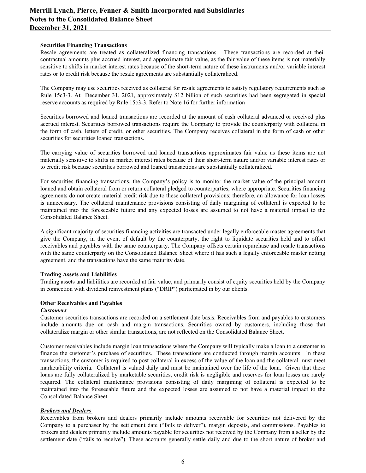#### **Securities Financing Transactions**

 Resale agreements are treated as collateralized financing transactions. These transactions are recorded at their contractual amounts plus accrued interest, and approximate fair value, as the fair value of these items is not materially sensitive to shifts in market interest rates because of the short-term nature of these instruments and/or variable interest rates or to credit risk because the resale agreements are substantially collateralized.

 The Company may use securities received as collateral for resale agreements to satisfy regulatory requirements such as Rule 15c3-3. At December 31, 2021, approximately \$12 billion of such securities had been segregated in special reserve accounts as required by Rule 15c3-3. Refer to Note 16 for further information

 Securities borrowed and loaned transactions are recorded at the amount of cash collateral advanced or received plus accrued interest. Securities borrowed transactions require the Company to provide the counterparty with collateral in the form of cash, letters of credit, or other securities. The Company receives collateral in the form of cash or other securities for securities loaned transactions.

 The carrying value of securities borrowed and loaned transactions approximates fair value as these items are not materially sensitive to shifts in market interest rates because of their short-term nature and/or variable interest rates or to credit risk because securities borrowed and loaned transactions are substantially collateralized.

 For securities financing transactions, the Company's policy is to monitor the market value of the principal amount loaned and obtain collateral from or return collateral pledged to counterparties, where appropriate. Securities financing agreements do not create material credit risk due to these collateral provisions; therefore, an allowance for loan losses is unnecessary. The collateral maintenance provisions consisting of daily margining of collateral is expected to be maintained into the foreseeable future and any expected losses are assumed to not have a material impact to the Consolidated Balance Sheet.

 A significant majority of securities financing activities are transacted under legally enforceable master agreements that give the Company, in the event of default by the counterparty, the right to liquidate securities held and to offset receivables and payables with the same counterparty. The Company offsets certain repurchase and resale transactions with the same counterparty on the Consolidated Balance Sheet where it has such a legally enforceable master netting agreement, and the transactions have the same maturity date.

#### **Trading Assets and Liabilities**

 Trading assets and liabilities are recorded at fair value, and primarily consist of equity securities held by the Company in connection with dividend reinvestment plans ("DRIP") participated in by our clients.

# **Other Receivables and Payables**

#### *Customers*

 Customer securities transactions are recorded on a settlement date basis. Receivables from and payables to customers include amounts due on cash and margin transactions. Securities owned by customers, including those that collateralize margin or other similar transactions, are not reflected on the Consolidated Balance Sheet.

 Customer receivables include margin loan transactions where the Company will typically make a loan to a customer to finance the customer's purchase of securities. These transactions are conducted through margin accounts. In these transactions, the customer is required to post collateral in excess of the value of the loan and the collateral must meet marketability criteria. Collateral is valued daily and must be maintained over the life of the loan. Given that these loans are fully collateralized by marketable securities, credit risk is negligible and reserves for loan losses are rarely required. The collateral maintenance provisions consisting of daily margining of collateral is expected to be maintained into the foreseeable future and the expected losses are assumed to not have a material impact to the Consolidated Balance Sheet.

# *Brokers and Dealers*

 Receivables from brokers and dealers primarily include amounts receivable for securities not delivered by the Company to a purchaser by the settlement date ("fails to deliver"), margin deposits, and commissions. Payables to brokers and dealers primarily include amounts payable for securities not received by the Company from a seller by the settlement date ("fails to receive"). These accounts generally settle daily and due to the short nature of broker and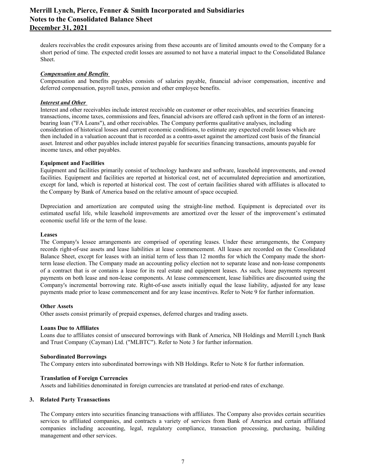dealers receivables the credit exposures arising from these accounts are of limited amounts owed to the Company for a short period of time. The expected credit losses are assumed to not have a material impact to the Consolidated Balance Sheet.

## *Compensation and Benefits*

 Compensation and benefits payables consists of salaries payable, financial advisor compensation, incentive and deferred compensation, payroll taxes, pension and other employee benefits.

#### *Interest and Other*

 Interest and other receivables include interest receivable on customer or other receivables, and securities financing transactions, income taxes, commissions and fees, financial advisors are offered cash upfront in the form of an interest- bearing loan ("FA Loans"), and other receivables. The Company performs qualitative analyses, including consideration of historical losses and current economic conditions, to estimate any expected credit losses which are then included in a valuation account that is recorded as a contra-asset against the amortized cost basis of the financial asset. Interest and other payables include interest payable for securities financing transactions, amounts payable for income taxes, and other payables.

### **Equipment and Facilities**

 Equipment and facilities primarily consist of technology hardware and software, leasehold improvements, and owned facilities. Equipment and facilities are reported at historical cost, net of accumulated depreciation and amortization, except for land, which is reported at historical cost. The cost of certain facilities shared with affiliates is allocated to the Company by Bank of America based on the relative amount of space occupied.

 Depreciation and amortization are computed using the straight-line method. Equipment is depreciated over its estimated useful life, while leasehold improvements are amortized over the lesser of the improvement's estimated economic useful life or the term of the lease.

#### **Leases**

 The Company's lessee arrangements are comprised of operating leases. Under these arrangements, the Company records right-of-use assets and lease liabilities at lease commencement. All leases are recorded on the Consolidated Balance Sheet, except for leases with an initial term of less than 12 months for which the Company made the short- term lease election. The Company made an accounting policy election not to separate lease and non-lease components of a contract that is or contains a lease for its real estate and equipment leases. As such, lease payments represent payments on both lease and non-lease components. At lease commencement, lease liabilities are discounted using the Company's incremental borrowing rate. Right-of-use assets initially equal the lease liability, adjusted for any lease payments made prior to lease commencement and for any lease incentives. Refer to Note 9 for further information.

#### **Other Assets**

Other assets consist primarily of prepaid expenses, deferred charges and trading assets.

#### **Loans Due to Affiliates**

 Loans due to affiliates consist of unsecured borrowings with Bank of America, NB Holdings and Merrill Lynch Bank and Trust Company (Cayman) Ltd. ("MLBTC"). Refer to Note 3 for further information.

#### **Subordinated Borrowings**

The Company enters into subordinated borrowings with NB Holdings. Refer to Note 8 for further information.

#### **Translation of Foreign Currencies**

Assets and liabilities denominated in foreign currencies are translated at period-end rates of exchange.

#### **3. Related Party Transactions**

 The Company enters into securities financing transactions with affiliates. The Company also provides certain securities services to affiliated companies, and contracts a variety of services from Bank of America and certain affiliated companies including accounting, legal, regulatory compliance, transaction processing, purchasing, building management and other services.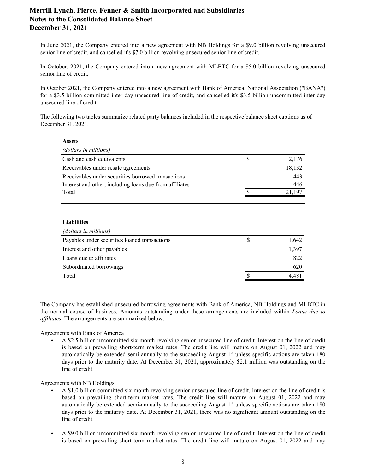In June 2021, the Company entered into a new agreement with NB Holdings for a \$9.0 billion revolving unsecured senior line of credit, and cancelled it's \$7.0 billion revolving unsecured senior line of credit.

 In October, 2021, the Company entered into a new agreement with MLBTC for a \$5.0 billion revolving unsecured senior line of credit.

 In October 2021, the Company entered into a new agreement with Bank of America, National Association ("BANA") for a \$3.5 billion committed inter-day unsecured line of credit, and cancelled it's \$3.5 billion uncommitted inter-day unsecured line of credit.

 The following two tables summarize related party balances included in the respective balance sheet captions as of December 31, 2021.

#### **Assets**

| (dollars in millions)                                   |   |        |
|---------------------------------------------------------|---|--------|
| Cash and cash equivalents                               | S | 2,176  |
| Receivables under resale agreements                     |   | 18,132 |
| Receivables under securities borrowed transactions      |   | 443    |
| Interest and other, including loans due from affiliates |   | 446    |
| Total                                                   |   | 197    |
|                                                         |   |        |

#### **Liabilities**

| (dollars in millions)                         |   |       |
|-----------------------------------------------|---|-------|
| Payables under securities loaned transactions | S | 1,642 |
| Interest and other payables                   |   | 1,397 |
| Loans due to affiliates                       |   | 822   |
| Subordinated borrowings                       |   | 620   |
| Total                                         |   | 4.481 |
|                                               |   |       |

 The Company has established unsecured borrowing agreements with Bank of America, NB Holdings and MLBTC in the normal course of business. Amounts outstanding under these arrangements are included within *Loans due to affiliates*. The arrangements are summarized below:

# Agreements with Bank of America

 • A \$2.5 billion uncommitted six month revolving senior unsecured line of credit. Interest on the line of credit is based on prevailing short-term market rates. The credit line will mature on August 01, 2022 and may automatically be extended semi-annually to the succeeding August  $1<sup>st</sup>$  unless specific actions are taken 180 days prior to the maturity date. At December 31, 2021, approximately \$2.1 million was outstanding on the line of credit.

#### Agreements with NB Holdings

- • A \$1.0 billion committed six month revolving senior unsecured line of credit. Interest on the line of credit is based on prevailing short-term market rates. The credit line will mature on August 01, 2022 and may automatically be extended semi-annually to the succeeding August  $1<sup>st</sup>$  unless specific actions are taken 180 days prior to the maturity date. At December 31, 2021, there was no significant amount outstanding on the line of credit.
- • A \$9.0 billion uncommitted six month revolving senior unsecured line of credit. Interest on the line of credit is based on prevailing short-term market rates. The credit line will mature on August 01, 2022 and may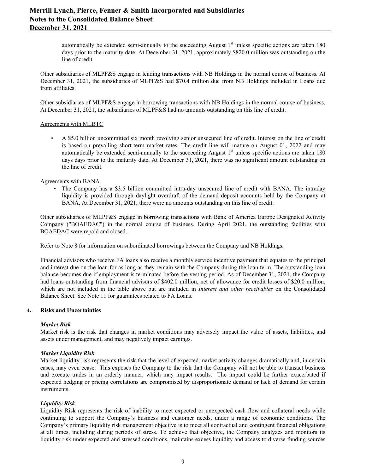automatically be extended semi-annually to the succeeding August 1<sup>st</sup> unless specific actions are taken 180 days prior to the maturity date. At December 31, 2021, approximately \$820.0 million was outstanding on the line of credit.

 Other subsidiaries of MLPF&S engage in lending transactions with NB Holdings in the normal course of business. At December 31, 2021, the subsidiaries of MLPF&S had \$70.4 million due from NB Holdings included in Loans due from affiliates.

 Other subsidiaries of MLPF&S engage in borrowing transactions with NB Holdings in the normal course of business. At December 31, 2021, the subsidiaries of MLPF&S had no amounts outstanding on this line of credit.

#### Agreements with MLBTC

 • A \$5.0 billion uncommitted six month revolving senior unsecured line of credit. Interest on the line of credit is based on prevailing short-term market rates. The credit line will mature on August 01, 2022 and may automatically be extended semi-annually to the succeeding August 1<sup>st</sup> unless specific actions are taken 180 days days prior to the maturity date. At December 31, 2021, there was no significant amount outstanding on the line of credit.

## Agreements with BANA

 • The Company has a \$3.5 billion committed intra-day unsecured line of credit with BANA. The intraday liquidity is provided through daylight overdraft of the demand deposit accounts held by the Company at BANA. At December 31, 2021, there were no amounts outstanding on this line of credit.

 Other subsidiaries of MLPF&S engage in borrowing transactions with Bank of America Europe Designated Activity Company ("BOAEDAC") in the normal course of business. During April 2021, the outstanding facilities with BOAEDAC were repaid and closed.

Refer to Note 8 for information on subordinated borrowings between the Company and NB Holdings.

 Financial advisors who receive FA loans also receive a monthly service incentive payment that equates to the principal and interest due on the loan for as long as they remain with the Company during the loan term. The outstanding loan balance becomes due if employment is terminated before the vesting period. As of December 31, 2021, the Company had loans outstanding from financial advisors of \$402.0 million, net of allowance for credit losses of \$20.0 million, which are not included in the table above but are included in *Interest and other receivables* on the Consolidated Balance Sheet. See Note 11 for guarantees related to FA Loans.

#### **4. Risks and Uncertainties**

# *Market Risk*

 Market risk is the risk that changes in market conditions may adversely impact the value of assets, liabilities, and assets under management, and may negatively impact earnings.

#### *Market Liquidity Risk*

 Market liquidity risk represents the risk that the level of expected market activity changes dramatically and, in certain cases, may even cease. This exposes the Company to the risk that the Company will not be able to transact business and execute trades in an orderly manner, which may impact results. The impact could be further exacerbated if expected hedging or pricing correlations are compromised by disproportionate demand or lack of demand for certain instruments.

# *Liquidity Risk*

 Liquidity Risk represents the risk of inability to meet expected or unexpected cash flow and collateral needs while continuing to support the Company's business and customer needs, under a range of economic conditions. The Company's primary liquidity risk management objective is to meet all contractual and contingent financial obligations at all times, including during periods of stress. To achieve that objective, the Company analyzes and monitors its liquidity risk under expected and stressed conditions, maintains excess liquidity and access to diverse funding sources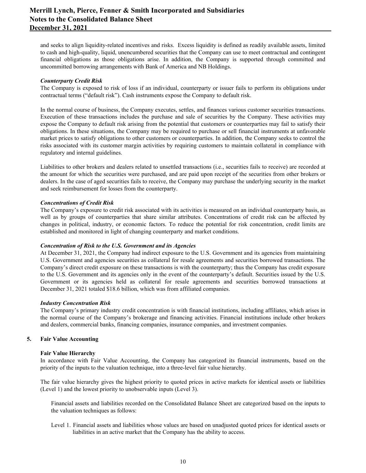and seeks to align liquidity-related incentives and risks. Excess liquidity is defined as readily available assets, limited to cash and high-quality, liquid, unencumbered securities that the Company can use to meet contractual and contingent financial obligations as those obligations arise. In addition, the Company is supported through committed and uncommitted borrowing arrangements with Bank of America and NB Holdings.

### *Counterparty Credit Risk*

 The Company is exposed to risk of loss if an individual, counterparty or issuer fails to perform its obligations under contractual terms ("default risk"). Cash instruments expose the Company to default risk.

 In the normal course of business, the Company executes, settles, and finances various customer securities transactions. Execution of these transactions includes the purchase and sale of securities by the Company. These activities may expose the Company to default risk arising from the potential that customers or counterparties may fail to satisfy their obligations. In these situations, the Company may be required to purchase or sell financial instruments at unfavorable market prices to satisfy obligations to other customers or counterparties. In addition, the Company seeks to control the risks associated with its customer margin activities by requiring customers to maintain collateral in compliance with regulatory and internal guidelines.

 Liabilities to other brokers and dealers related to unsettled transactions (i.e., securities fails to receive) are recorded at the amount for which the securities were purchased, and are paid upon receipt of the securities from other brokers or dealers. In the case of aged securities fails to receive, the Company may purchase the underlying security in the market and seek reimbursement for losses from the counterparty.

## *Concentrations of Credit Risk*

 The Company's exposure to credit risk associated with its activities is measured on an individual counterparty basis, as well as by groups of counterparties that share similar attributes. Concentrations of credit risk can be affected by changes in political, industry, or economic factors. To reduce the potential for risk concentration, credit limits are established and monitored in light of changing counterparty and market conditions.

#### *Concentration of Risk to the U.S. Government and its Agencies*

At December 31, 2021, the Company had indirect exposure to the U.S. Government and its agencies from maintaining U.S. Government and agencies securities as collateral for resale agreements and securities borrowed transactions. The Company's direct credit exposure on these transactions is with the counterparty; thus the Company has credit exposure to the U.S. Government and its agencies only in the event of the counterparty's default. Securities issued by the U.S. Government or its agencies held as collateral for resale agreements and securities borrowed transactions at December 31, 2021 totaled \$18.6 billion, which was from affiliated companies.

#### *Industry Concentration Risk*

 The Company's primary industry credit concentration is with financial institutions, including affiliates, which arises in the normal course of the Company's brokerage and financing activities. Financial institutions include other brokers and dealers, commercial banks, financing companies, insurance companies, and investment companies.

# **5. Fair Value Accounting**

#### **Fair Value Hierarchy**

 In accordance with Fair Value Accounting, the Company has categorized its financial instruments, based on the priority of the inputs to the valuation technique, into a three-level fair value hierarchy.

 The fair value hierarchy gives the highest priority to quoted prices in active markets for identical assets or liabilities (Level 1) and the lowest priority to unobservable inputs (Level 3).

 Financial assets and liabilities recorded on the Consolidated Balance Sheet are categorized based on the inputs to the valuation techniques as follows:

 Level 1. Financial assets and liabilities whose values are based on unadjusted quoted prices for identical assets or liabilities in an active market that the Company has the ability to access.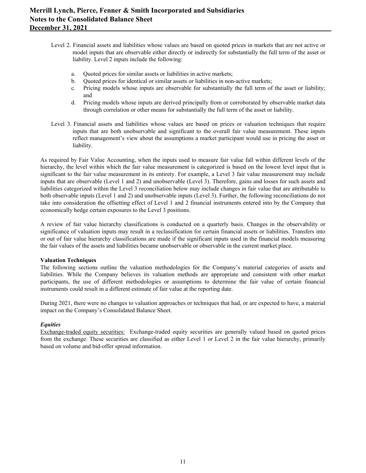- Level 2. Financial assets and liabilities whose values are based on quoted prices in markets that are not active or model inputs that are observable either directly or indirectly for substantially the full term of the asset or liability. Level 2 inputs include the following:
	- a. Quoted prices for similar assets or liabilities in active markets;
	- b. Quoted prices for identical or similar assets or liabilities in non-active markets;
	- c. Pricing models whose inputs are observable for substantially the full term of the asset or liability; and
	- d. Pricing models whose inputs are derived principally from or corroborated by observable market data through correlation or other means for substantially the full term of the asset or liability.
- Level 3. Financial assets and liabilities whose values are based on prices or valuation techniques that require inputs that are both unobservable and significant to the overall fair value measurement. These inputs reflect management's view about the assumptions a market participant would use in pricing the asset or liability.

 As required by Fair Value Accounting, when the inputs used to measure fair value fall within different levels of the hierarchy, the level within which the fair value measurement is categorized is based on the lowest level input that is significant to the fair value measurement in its entirety. For example, a Level 3 fair value measurement may include inputs that are observable (Level 1 and 2) and unobservable (Level 3). Therefore, gains and losses for such assets and liabilities categorized within the Level 3 reconciliation below may include changes in fair value that are attributable to both observable inputs (Level 1 and 2) and unobservable inputs (Level 3). Further, the following reconciliations do not take into consideration the offsetting effect of Level 1 and 2 financial instruments entered into by the Company that economically hedge certain exposures to the Level 3 positions.

 A review of fair value hierarchy classifications is conducted on a quarterly basis. Changes in the observability or significance of valuation inputs may result in a reclassification for certain financial assets or liabilities. Transfers into or out of fair value hierarchy classifications are made if the significant inputs used in the financial models measuring the fair values of the assets and liabilities became unobservable or observable in the current market place.

#### **Valuation Techniques**

 The following sections outline the valuation methodologies for the Company's material categories of assets and liabilities. While the Company believes its valuation methods are appropriate and consistent with other market participants, the use of different methodologies or assumptions to determine the fair value of certain financial instruments could result in a different estimate of fair value at the reporting date.

 During 2021, there were no changes to valuation approaches or techniques that had, or are expected to have, a material impact on the Company's Consolidated Balance Sheet.

# *Equities*

 Exchange-traded equity securities: Exchange-traded equity securities are generally valued based on quoted prices from the exchange. These securities are classified as either Level 1 or Level 2 in the fair value hierarchy, primarily based on volume and bid-offer spread information.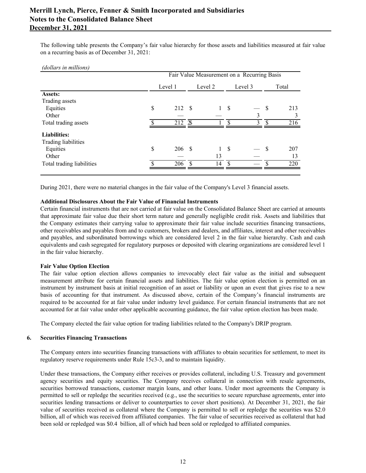The following table presents the Company's fair value hierarchy for those assets and liabilities measured at fair value on a recurring basis as of December 31, 2021:

 *(dollars in millions)*

|                           | Fair Value Measurement on a Recurring Basis |                           |  |            |      |         |               |       |
|---------------------------|---------------------------------------------|---------------------------|--|------------|------|---------|---------------|-------|
|                           |                                             | Level 1                   |  | Level 2    |      | Level 3 |               | Total |
| Assets:                   |                                             |                           |  |            |      |         |               |       |
| Trading assets            |                                             |                           |  |            |      |         |               |       |
| Equities                  | \$                                          | 212S                      |  |            | 1 S  |         | <sup>S</sup>  | 213   |
| Other                     |                                             |                           |  |            |      | 3       |               | 3     |
| Total trading assets      |                                             | $212 \overline{\text{3}}$ |  |            | ¢    | 3       |               | 216   |
| <b>Liabilities:</b>       |                                             |                           |  |            |      |         |               |       |
| Trading liabilities       |                                             |                           |  |            |      |         |               |       |
| Equities                  | \$                                          | 206 \$                    |  |            | - \$ |         | <sup>\$</sup> | 207   |
| Other                     |                                             |                           |  | 13         |      |         |               | 13    |
| Total trading liabilities |                                             | 206S                      |  | $14 \quad$ |      |         | $\mathcal{S}$ | 220   |
|                           |                                             |                           |  |            |      |         |               |       |

During 2021, there were no material changes in the fair value of the Company's Level 3 financial assets.

#### **Additional Disclosures About the Fair Value of Financial Instruments**

 Certain financial instruments that are not carried at fair value on the Consolidated Balance Sheet are carried at amounts that approximate fair value due their short term nature and generally negligible credit risk. Assets and liabilities that the Company estimates their carrying value to approximate their fair value include securities financing transactions, other receivables and payables from and to customers, brokers and dealers, and affiliates, interest and other receivables and payables, and subordinated borrowings which are considered level 2 in the fair value hierarchy. Cash and cash equivalents and cash segregated for regulatory purposes or deposited with clearing organizations are considered level 1 in the fair value hierarchy.

#### **Fair Value Option Election**

 The fair value option election allows companies to irrevocably elect fair value as the initial and subsequent measurement attribute for certain financial assets and liabilities. The fair value option election is permitted on an instrument by instrument basis at initial recognition of an asset or liability or upon an event that gives rise to a new basis of accounting for that instrument. As discussed above, certain of the Company's financial instruments are required to be accounted for at fair value under industry level guidance. For certain financial instruments that are not accounted for at fair value under other applicable accounting guidance, the fair value option election has been made.

The Company elected the fair value option for trading liabilities related to the Company's DRIP program.

#### **6. Securities Financing Transactions**

 The Company enters into securities financing transactions with affiliates to obtain securities for settlement, to meet its regulatory reserve requirements under Rule 15c3-3, and to maintain liquidity.

 Under these transactions, the Company either receives or provides collateral, including U.S. Treasury and government agency securities and equity securities. The Company receives collateral in connection with resale agreements, securities borrowed transactions, customer margin loans, and other loans. Under most agreements the Company is permitted to sell or repledge the securities received (e.g., use the securities to secure repurchase agreements, enter into securities lending transactions or deliver to counterparties to cover short positions). At December 31, 2021, the fair value of securities received as collateral where the Company is permitted to sell or repledge the securities was \$2.0 billion, all of which was received from affiliated companies. The fair value of securities received as collateral that had been sold or repledged was \$0.4 billion, all of which had been sold or repledged to affiliated companies.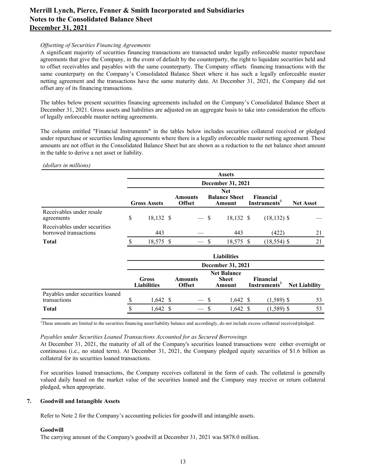# *Offsetting of Securities Financing Agreements*

 A significant majority of securities financing transactions are transacted under legally enforceable master repurchase agreements that give the Company, in the event of default by the counterparty, the right to liquidate securities held and to offset receivables and payables with the same counterparty. The Company offsets financing transactions with the same counterparty on the Company's Consolidated Balance Sheet where it has such a legally enforceable master netting agreement and the transactions have the same maturity date. At December 31, 2021, the Company did not offset any of its financing transactions.

 The tables below present securities financing agreements included on the Company's Consolidated Balance Sheet at December 31, 2021. Gross assets and liabilities are adjusted on an aggregate basis to take into consideration the effects of legally enforceable master netting agreements.

 The column entitled "Financial Instruments" in the tables below includes securities collateral received or pledged under repurchase or securities lending agreements where there is a legally enforceable master netting agreement. These amounts are not offset in the Consolidated Balance Sheet but are shown as a reduction to the net balance sheet amount in the table to derive a net asset or liability.

#### *(dollars in millions)*

|                                                       | <b>Assets</b> |                                    |  |                                 |    |                                              |                                       |                      |
|-------------------------------------------------------|---------------|------------------------------------|--|---------------------------------|----|----------------------------------------------|---------------------------------------|----------------------|
|                                                       |               |                                    |  |                                 |    | December 31, 2021                            |                                       |                      |
|                                                       |               | <b>Gross Assets</b>                |  | <b>Amounts</b><br><b>Offset</b> |    | <b>Net</b><br><b>Balance Sheet</b><br>Amount | Financial<br>Instruments <sup>1</sup> | <b>Net Asset</b>     |
| Receivables under resale<br>agreements                | \$            | 18,132 \$                          |  |                                 | \$ | 18,132 \$                                    | $(18, 132)$ \$                        |                      |
| Receivables under securities<br>borrowed transactions |               | 443                                |  |                                 |    | 443                                          | (422)                                 | 21                   |
| <b>Total</b>                                          |               | 18,575 \$                          |  |                                 | \$ | 18,575 \$                                    | $(18, 554)$ \$                        | 21                   |
|                                                       |               |                                    |  |                                 |    | <b>Liabilities</b>                           |                                       |                      |
|                                                       |               |                                    |  |                                 |    | December 31, 2021                            |                                       |                      |
|                                                       |               | <b>Gross</b><br><b>Liabilities</b> |  | <b>Amounts</b><br><b>Offset</b> |    | <b>Net Balance</b><br><b>Sheet</b><br>Amount | Financial<br>Instruments'             | <b>Net Liability</b> |
| Payables under securities loaned<br>transactions      | \$            | $1,642$ \$                         |  |                                 | \$ | $1,642 \text{ }$ \$                          | $(1,589)$ \$                          | 53                   |
| <b>Total</b>                                          |               | $1,642 \text{ }$ \$                |  |                                 | S  | $1,642 \text{ }$                             | $(1,589)$ \$                          | 53                   |

<sup>1</sup>These amounts are limited to the securities financing asset/liability balance and accordingly, do not include excess collateral received/pledged.

#### *Payables under Securities Loaned Transactions Accounted for as Secured Borrowings*

 At December 31, 2021, the maturity of all of the Company's securities loaned transactions were either overnight or continuous (i.e., no stated term). At December 31, 2021, the Company pledged equity securities of \$1.6 billion as collateral for its securities loaned transactions.

 For securities loaned transactions, the Company receives collateral in the form of cash. The collateral is generally valued daily based on the market value of the securities loaned and the Company may receive or return collateral pledged, when appropriate.

#### **7. Goodwill and Intangible Assets**

Refer to Note 2 for the Company's accounting policies for goodwill and intangible assets.

#### **Goodwill**

The carrying amount of the Company's goodwill at December 31, 2021 was \$878.0 million.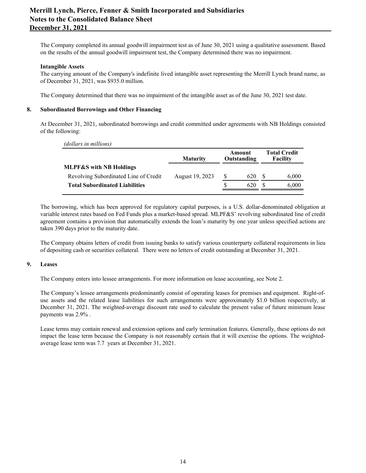The Company completed its annual goodwill impairment test as of June 30, 2021 using a qualitative assessment. Based on the results of the annual goodwill impairment test, the Company determined there was no impairment.

## **Intangible Assets**

 The carrying amount of the Company's indefinite lived intangible asset representing the Merrill Lynch brand name, as of December 31, 2021, was \$935.0 million.

The Company determined that there was no impairment of the intangible asset as of the June 30, 2021 test date.

#### **8. Subordinated Borrowings and Other Financing**

 At December 31, 2021, subordinated borrowings and credit committed under agreements with NB Holdings consisted of the following:

|  | (dollars in millions) |
|--|-----------------------|
|  |                       |

|                                       | <b>Maturity</b> |   | Amount<br>Outstanding |  |       |  | <b>Total Credit</b><br>Facility |
|---------------------------------------|-----------------|---|-----------------------|--|-------|--|---------------------------------|
| <b>MLPF&amp;S</b> with NB Holdings    |                 |   |                       |  |       |  |                                 |
| Revolving Subordinated Line of Credit | August 19, 2023 | S | 620                   |  | 6,000 |  |                                 |
| <b>Total Subordinated Liabilities</b> |                 |   | 620                   |  | 6,000 |  |                                 |
|                                       |                 |   |                       |  |       |  |                                 |

 The borrowing, which has been approved for regulatory capital purposes, is a U.S. dollar-denominated obligation at variable interest rates based on Fed Funds plus a market-based spread. MLPF&S' revolving subordinated line of credit agreement contains a provision that automatically extends the loan's maturity by one year unless specified actions are taken 390 days prior to the maturity date.

 The Company obtains letters of credit from issuing banks to satisfy various counterparty collateral requirements in lieu of depositing cash or securities collateral. There were no letters of credit outstanding at December 31, 2021.

#### **9. Leases**

The Company enters into lessee arrangements. For more information on lease accounting, see Note 2.

 The Company's lessee arrangements predominantly consist of operating leases for premises and equipment. Right-of- use assets and the related lease liabilities for such arrangements were approximately \$1.0 billion respectively, at December 31, 2021. The weighted-average discount rate used to calculate the present value of future minimum lease payments was 2.9% .

 Lease terms may contain renewal and extension options and early termination features. Generally, these options do not impact the lease term because the Company is not reasonably certain that it will exercise the options. The weighted-average lease term was 7.7 years at December 31, 2021.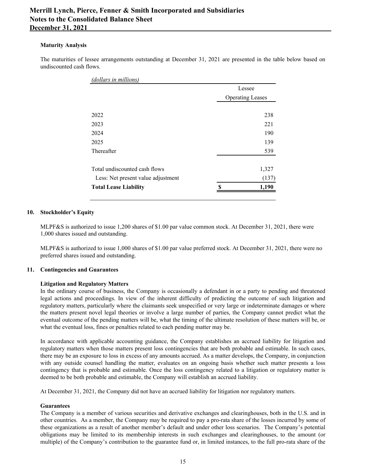## **Maturity Analysis**

 The maturities of lessee arrangements outstanding at December 31, 2021 are presented in the table below based on undiscounted cash flows.

| (dollars in millions)              |                         |        |
|------------------------------------|-------------------------|--------|
|                                    |                         | Lessee |
|                                    | <b>Operating Leases</b> |        |
|                                    |                         |        |
| 2022                               |                         | 238    |
| 2023                               |                         | 221    |
| 2024                               |                         | 190    |
| 2025                               |                         | 139    |
| Thereafter                         |                         | 539    |
|                                    |                         |        |
| Total undiscounted cash flows      |                         | 1,327  |
| Less: Net present value adjustment |                         | (137)  |
| <b>Total Lease Liability</b>       | S                       | 1,190  |
|                                    |                         |        |

# **10. Stockholder's Equity**

 MLPF&S is authorized to issue 1,200 shares of \$1.00 par value common stock. At December 31, 2021, there were 1,000 shares issued and outstanding.

 MLPF&S is authorized to issue 1,000 shares of \$1.00 par value preferred stock. At December 31, 2021, there were no preferred shares issued and outstanding.

# **11. Contingencies and Guarantees**

# **Litigation and Regulatory Matters**

 In the ordinary course of business, the Company is occasionally a defendant in or a party to pending and threatened legal actions and proceedings. In view of the inherent difficulty of predicting the outcome of such litigation and regulatory matters, particularly where the claimants seek unspecified or very large or indeterminate damages or where the matters present novel legal theories or involve a large number of parties, the Company cannot predict what the eventual outcome of the pending matters will be, what the timing of the ultimate resolution of these matters will be, or what the eventual loss, fines or penalties related to each pending matter may be.

 In accordance with applicable accounting guidance, the Company establishes an accrued liability for litigation and regulatory matters when those matters present loss contingencies that are both probable and estimable. In such cases, there may be an exposure to loss in excess of any amounts accrued. As a matter develops, the Company, in conjunction with any outside counsel handling the matter, evaluates on an ongoing basis whether such matter presents a loss contingency that is probable and estimable. Once the loss contingency related to a litigation or regulatory matter is deemed to be both probable and estimable, the Company will establish an accrued liability.

At December 31, 2021, the Company did not have an accrued liability for litigation nor regulatory matters.

#### **Guarantees**

 The Company is a member of various securities and derivative exchanges and clearinghouses, both in the U.S. and in other countries. As a member, the Company may be required to pay a pro-rata share of the losses incurred by some of these organizations as a result of another member's default and under other loss scenarios. The Company's potential obligations may be limited to its membership interests in such exchanges and clearinghouses, to the amount (or multiple) of the Company's contribution to the guarantee fund or, in limited instances, to the full pro-rata share of the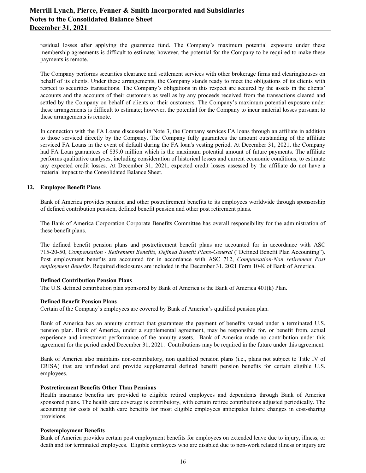residual losses after applying the guarantee fund. The Company's maximum potential exposure under these membership agreements is difficult to estimate; however, the potential for the Company to be required to make these payments is remote.

 The Company performs securities clearance and settlement services with other brokerage firms and clearinghouses on behalf of its clients. Under these arrangements, the Company stands ready to meet the obligations of its clients with respect to securities transactions. The Company's obligations in this respect are secured by the assets in the clients' accounts and the accounts of their customers as well as by any proceeds received from the transactions cleared and settled by the Company on behalf of clients or their customers. The Company's maximum potential exposure under these arrangements is difficult to estimate; however, the potential for the Company to incur material losses pursuant to these arrangements is remote.

 In connection with the FA Loans discussed in Note 3, the Company services FA loans through an affiliate in addition to those serviced directly by the Company. The Company fully guarantees the amount outstanding of the affiliate serviced FA Loans in the event of default during the FA loan's vesting period. At December 31, 2021, the Company had FA Loan guarantees of \$39.0 million which is the maximum potential amount of future payments. The affiliate performs qualitative analyses, including consideration of historical losses and current economic conditions, to estimate any expected credit losses. At December 31, 2021, expected credit losses assessed by the affiliate do not have a material impact to the Consolidated Balance Sheet.

# **12. Employee Benefit Plans**

 Bank of America provides pension and other postretirement benefits to its employees worldwide through sponsorship of defined contribution pension, defined benefit pension and other post retirement plans.

 The Bank of America Corporation Corporate Benefits Committee has overall responsibility for the administration of these benefit plans.

 The defined benefit pension plans and postretirement benefit plans are accounted for in accordance with ASC  715-20-50, *Compensation - Retirement Benefits, Defined Benefit Plans-General* ("Defined Benefit Plan Accounting"). Post employment benefits are accounted for in accordance with ASC 712, *Compensation-Non retirement Post employment Benefits*. Required disclosures are included in the December 31, 2021 Form 10-K of Bank of America.

#### **Defined Contribution Pension Plans**

The U.S. defined contribution plan sponsored by Bank of America is the Bank of America 401(k) Plan.

#### **Defined Benefit Pension Plans**

Certain of the Company's employees are covered by Bank of America's qualified pension plan.

 Bank of America has an annuity contract that guarantees the payment of benefits vested under a terminated U.S. pension plan. Bank of America, under a supplemental agreement, may be responsible for, or benefit from, actual experience and investment performance of the annuity assets. Bank of America made no contribution under this agreement for the period ended December 31, 2021. Contributions may be required in the future under this agreement.

 Bank of America also maintains non-contributory, non qualified pension plans (i.e., plans not subject to Title IV of ERISA) that are unfunded and provide supplemental defined benefit pension benefits for certain eligible U.S. employees.

#### **Postretirement Benefits Other Than Pensions**

 Health insurance benefits are provided to eligible retired employees and dependents through Bank of America sponsored plans. The health care coverage is contributory, with certain retiree contributions adjusted periodically. The accounting for costs of health care benefits for most eligible employees anticipates future changes in cost-sharing provisions.

#### **Postemployment Benefits**

 Bank of America provides certain post employment benefits for employees on extended leave due to injury, illness, or death and for terminated employees. Eligible employees who are disabled due to non-work related illness or injury are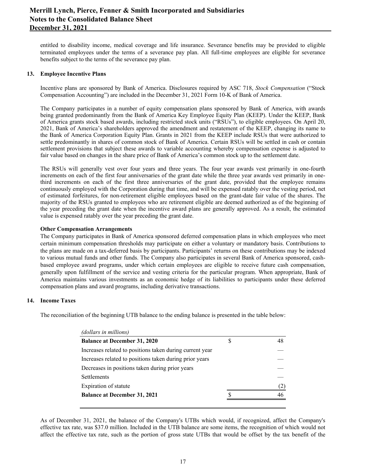entitled to disability income, medical coverage and life insurance. Severance benefits may be provided to eligible terminated employees under the terms of a severance pay plan. All full-time employees are eligible for severance benefits subject to the terms of the severance pay plan.

#### **13. Employee Incentive Plans**

 Incentive plans are sponsored by Bank of America. Disclosures required by ASC 718, *Stock Compensation* ("Stock Compensation Accounting") are included in the December 31, 2021 Form 10-K of Bank of America.

 The Company participates in a number of equity compensation plans sponsored by Bank of America, with awards being granted predominantly from the Bank of America Key Employee Equity Plan (KEEP). Under the KEEP, Bank of America grants stock based awards, including restricted stock units ("RSUs"), to eligible employees. On April 20, 2021, Bank of America's shareholders approved the amendment and restatement of the KEEP, changing its name to the Bank of America Corporation Equity Plan. Grants in 2021 from the KEEP include RSUs that were authorized to settle predominantly in shares of common stock of Bank of America. Certain RSUs will be settled in cash or contain settlement provisions that subject these awards to variable accounting whereby compensation expense is adjusted to fair value based on changes in the share price of Bank of America's common stock up to the settlement date.

 The RSUs will generally vest over four years and three years. The four year awards vest primarily in one-fourth increments on each of the first four anniversaries of the grant date while the three year awards vest primarily in one- third increments on each of the first three anniversaries of the grant date, provided that the employee remains continuously employed with the Corporation during that time, and will be expensed ratably over the vesting period, net of estimated forfeitures, for non-retirement eligible employees based on the grant-date fair value of the shares. The majority of the RSUs granted to employees who are retirement eligible are deemed authorized as of the beginning of the year preceding the grant date when the incentive award plans are generally approved. As a result, the estimated value is expensed ratably over the year preceding the grant date.

#### **Other Compensation Arrangements**

 The Company participates in Bank of America sponsored deferred compensation plans in which employees who meet certain minimum compensation thresholds may participate on either a voluntary or mandatory basis. Contributions to the plans are made on a tax-deferred basis by participants. Participants' returns on these contributions may be indexed to various mutual funds and other funds. The Company also participates in several Bank of America sponsored, cash- based employee award programs, under which certain employees are eligible to receive future cash compensation, generally upon fulfillment of the service and vesting criteria for the particular program. When appropriate, Bank of America maintains various investments as an economic hedge of its liabilities to participants under these deferred compensation plans and award programs, including derivative transactions.

# **14. Income Taxes**

The reconciliation of the beginning UTB balance to the ending balance is presented in the table below:

| (dollars in millions)                                    |   |     |
|----------------------------------------------------------|---|-----|
| <b>Balance at December 31, 2020</b>                      | S | 48  |
| Increases related to positions taken during current year |   |     |
| Increases related to positions taken during prior years  |   |     |
| Decreases in positions taken during prior years          |   |     |
| <b>Settlements</b>                                       |   |     |
| Expiration of statute                                    |   | (2) |
| <b>Balance at December 31, 2021</b>                      |   | 46  |
|                                                          |   |     |

 As of December 31, 2021, the balance of the Company's UTBs which would, if recognized, affect the Company's effective tax rate, was \$37.0 million. Included in the UTB balance are some items, the recognition of which would not affect the effective tax rate, such as the portion of gross state UTBs that would be offset by the tax benefit of the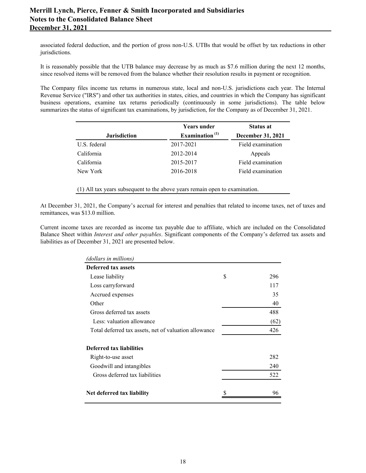associated federal deduction, and the portion of gross non-U.S. UTBs that would be offset by tax reductions in other jurisdictions.

 It is reasonably possible that the UTB balance may decrease by as much as \$7.6 million during the next 12 months, since resolved items will be removed from the balance whether their resolution results in payment or recognition.

 The Company files income tax returns in numerous state, local and non-U.S. jurisdictions each year. The Internal Revenue Service ("IRS") and other tax authorities in states, cities, and countries in which the Company has significant business operations, examine tax returns periodically (continuously in some jurisdictions). The table below summarizes the status of significant tax examinations, by jurisdiction, for the Company as of December 31, 2021.

|                     | <b>Years under</b> | <b>Status at</b>  |
|---------------------|--------------------|-------------------|
| <b>Jurisdiction</b> | Examination $(1)$  | December 31, 2021 |
| U.S. federal        | 2017-2021          | Field examination |
| California          | 2012-2014          | Appeals           |
| California          | 2015-2017          | Field examination |
| New York            | 2016-2018          | Field examination |

(1) All tax years subsequent to the above years remain open to examination.

 At December 31, 2021, the Company's accrual for interest and penalties that related to income taxes, net of taxes and remittances, was \$13.0 million.

 Current income taxes are recorded as income tax payable due to affiliate, which are included on the Consolidated Balance Sheet within *Interest and other payables*. Significant components of the Company's deferred tax assets and liabilities as of December 31, 2021 are presented below.

| (dollars in millions)                                 |           |
|-------------------------------------------------------|-----------|
| Deferred tax assets                                   |           |
| Lease liability                                       | \$<br>296 |
| Loss carryforward                                     | 117       |
| Accrued expenses                                      | 35        |
| Other                                                 | 40        |
| Gross deferred tax assets                             | 488       |
| Less: valuation allowance                             | (62)      |
| Total deferred tax assets, net of valuation allowance | 426       |
| Deferred tax liabilities                              |           |
| Right-to-use asset                                    | 282       |
| Goodwill and intangibles                              | 240       |
| Gross deferred tax liabilities                        | 522       |
| Net deferred tax liability                            | 96        |
|                                                       |           |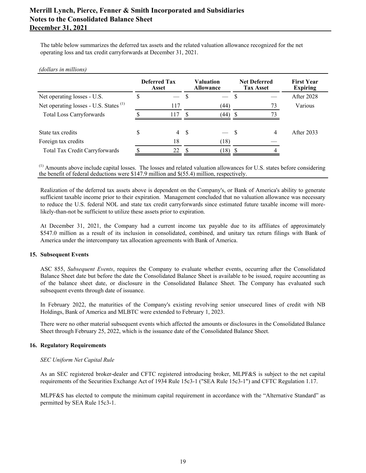The table below summarizes the deferred tax assets and the related valuation allowance recognized for the net operating loss and tax credit carryforwards at December 31, 2021.

#### *(dollars in millions)*

|                                                   | <b>Deferred Tax</b><br>Asset |    | <b>Valuation</b><br><b>Allowance</b> | <b>Net Deferred</b><br><b>Tax Asset</b> | <b>First Year</b><br><b>Expiring</b><br><b>After 2028</b> |  |
|---------------------------------------------------|------------------------------|----|--------------------------------------|-----------------------------------------|-----------------------------------------------------------|--|
| Net operating losses - U.S.                       |                              | -S |                                      |                                         |                                                           |  |
| Net operating losses - U.S. States <sup>(1)</sup> | 117                          |    | (44)                                 | 73                                      | Various                                                   |  |
| <b>Total Loss Carryforwards</b>                   | 117                          | S  | (44)                                 | 73                                      |                                                           |  |
| State tax credits                                 | $\overline{4}$               | -S |                                      | 4                                       | After 2033                                                |  |
| Foreign tax credits                               | 18                           |    | (18)                                 |                                         |                                                           |  |
| <b>Total Tax Credit Carryforwards</b>             | 22                           |    | (18)                                 |                                         |                                                           |  |

 $<sup>(1)</sup>$  Amounts above include capital losses. The losses and related valuation allowances for U.S. states before considering</sup> the benefit of federal deductions were \$147.9 million and \$(55.4) million, respectively.

 Realization of the deferred tax assets above is dependent on the Company's, or Bank of America's ability to generate sufficient taxable income prior to their expiration. Management concluded that no valuation allowance was necessary to reduce the U.S. federal NOL and state tax credit carryforwards since estimated future taxable income will more-likely-than-not be sufficient to utilize these assets prior to expiration.

 At December 31, 2021, the Company had a current income tax payable due to its affiliates of approximately \$547.0 million as a result of its inclusion in consolidated, combined, and unitary tax return filings with Bank of America under the intercompany tax allocation agreements with Bank of America.

# **15. Subsequent Events**

 ASC 855, *Subsequent Events*, requires the Company to evaluate whether events, occurring after the Consolidated Balance Sheet date but before the date the Consolidated Balance Sheet is available to be issued, require accounting as of the balance sheet date, or disclosure in the Consolidated Balance Sheet. The Company has evaluated such subsequent events through date of issuance.

 In February 2022, the maturities of the Company's existing revolving senior unsecured lines of credit with NB Holdings, Bank of America and MLBTC were extended to February 1, 2023.

 There were no other material subsequent events which affected the amounts or disclosures in the Consolidated Balance Sheet through February 25, 2022, which is the issuance date of the Consolidated Balance Sheet.

# **16. Regulatory Requirements**

#### *SEC Uniform Net Capital Rule*

 As an SEC registered broker-dealer and CFTC registered introducing broker, MLPF&S is subject to the net capital requirements of the Securities Exchange Act of 1934 Rule 15c3-1 ("SEA Rule 15c3-1") and CFTC Regulation 1.17.

 MLPF&S has elected to compute the minimum capital requirement in accordance with the "Alternative Standard" as permitted by SEA Rule 15c3-1.